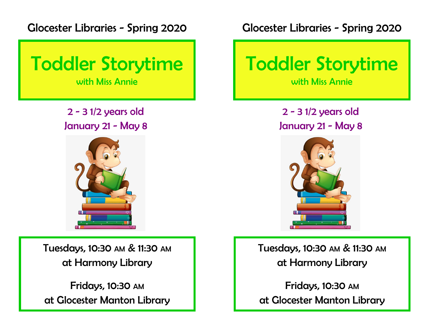Glocester Libraries - Spring 2020



2 - 3 1/2 years old January 21 - May 8



Tuesdays, 10:30 AM & 11:30 AM at Harmony Library

Fridays, 10:30 AM at Glocester Manton Library Glocester Libraries - Spring 2020



2 - 3 1/2 years old January 21 - May 8



Tuesdays, 10:30 AM & 11:30 AM at Harmony Library

Fridays, 10:30 AM at Glocester Manton Library